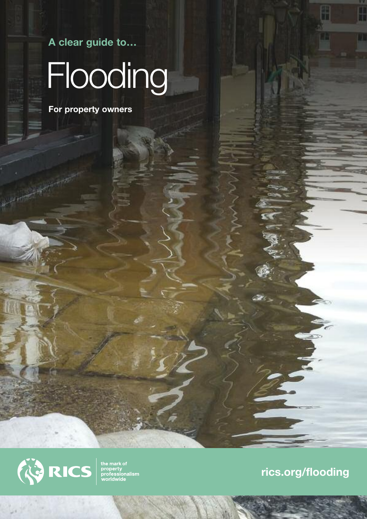**A clear guide to…**

# Flooding

**For property owners**



### **rics.org/flooding**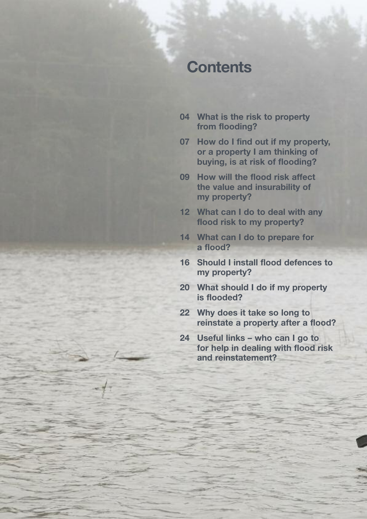## **Contents**

- **04 What is the risk to property from flooding?**
- **07 How do I find out if my property, or a property I am thinking of buying, is at risk of flooding?**
- **09 How will the flood risk affect the value and insurability of my property?**
- **12 What can I do to deal with any flood risk to my property?**
- **14 What can I do to prepare for a flood?**
- **16 Should I install flood defences to my property?**
- **20 What should I do if my property is flooded?**
- **22 Why does it take so long to reinstate a property after a flood?**
- **24 Useful links – who can I go to for help in dealing with flood risk and reinstatement?**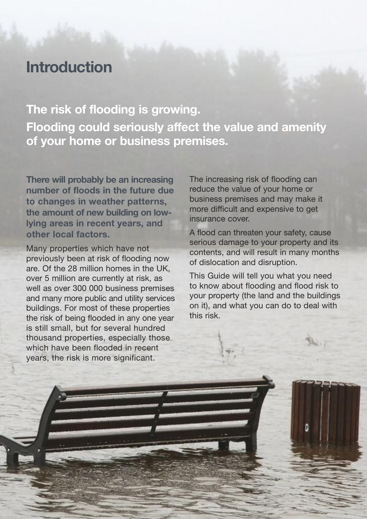## **Introduction**

**The risk of flooding is growing. Flooding could seriously affect the value and amenity of your home or business premises.**

**There will probably be an increasing number of floods in the future due to changes in weather patterns, the amount of new building on lowlying areas in recent years, and other local factors.**

Many properties which have not previously been at risk of flooding now are. Of the 28 million homes in the UK, over 5 million are currently at risk, as well as over 300 000 business premises and many more public and utility services buildings. For most of these properties the risk of being flooded in any one year is still small, but for several hundred thousand properties, especially those which have been flooded in recent years, the risk is more significant.

The increasing risk of flooding can reduce the value of your home or business premises and may make it more difficult and expensive to get insurance cover.

A flood can threaten your safety, cause serious damage to your property and its contents, and will result in many months of dislocation and disruption.

This Guide will tell you what you need to know about flooding and flood risk to your property (the land and the buildings on it), and what you can do to deal with this risk.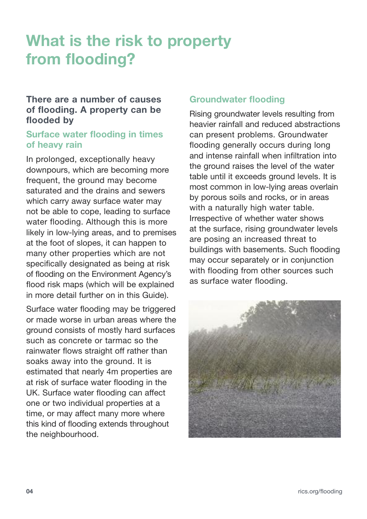## **What is the risk to property from flooding?**

#### **There are a number of causes of flooding. A property can be flooded by**

#### **Surface water flooding in times of heavy rain**

In prolonged, exceptionally heavy downpours, which are becoming more frequent, the ground may become saturated and the drains and sewers which carry away surface water may not be able to cope, leading to surface water flooding. Although this is more likely in low-lying areas, and to premises at the foot of slopes, it can happen to many other properties which are not specifically designated as being at risk of flooding on the Environment Agency's flood risk maps (which will be explained in more detail further on in this Guide).

Surface water flooding may be triggered or made worse in urban areas where the ground consists of mostly hard surfaces such as concrete or tarmac so the rainwater flows straight off rather than soaks away into the ground. It is estimated that nearly 4m properties are at risk of surface water flooding in the UK. Surface water flooding can affect one or two individual properties at a time, or may affect many more where this kind of flooding extends throughout the neighbourhood.

#### **Groundwater flooding**

Rising groundwater levels resulting from heavier rainfall and reduced abstractions can present problems. Groundwater flooding generally occurs during long and intense rainfall when infiltration into the ground raises the level of the water table until it exceeds ground levels. It is most common in low-lying areas overlain by porous soils and rocks, or in areas with a naturally high water table. Irrespective of whether water shows at the surface, rising groundwater levels are posing an increased threat to buildings with basements. Such flooding may occur separately or in conjunction with flooding from other sources such as surface water flooding.

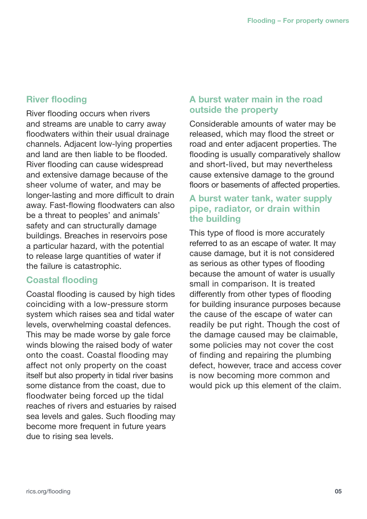#### **River flooding**

River flooding occurs when rivers and streams are unable to carry away floodwaters within their usual drainage channels. Adjacent low-lying properties and land are then liable to be flooded. River flooding can cause widespread and extensive damage because of the sheer volume of water, and may be longer-lasting and more difficult to drain away. Fast-flowing floodwaters can also be a threat to peoples' and animals' safety and can structurally damage buildings. Breaches in reservoirs pose a particular hazard, with the potential to release large quantities of water if the failure is catastrophic.

#### **Coastal flooding**

Coastal flooding is caused by high tides coinciding with a low-pressure storm system which raises sea and tidal water levels, overwhelming coastal defences. This may be made worse by gale force winds blowing the raised body of water onto the coast. Coastal flooding may affect not only property on the coast itself but also property in tidal river basins some distance from the coast, due to floodwater being forced up the tidal reaches of rivers and estuaries by raised sea levels and gales. Such flooding may become more frequent in future years due to rising sea levels.

#### **A burst water main in the road outside the property**

Considerable amounts of water may be released, which may flood the street or road and enter adjacent properties. The flooding is usually comparatively shallow and short-lived, but may nevertheless cause extensive damage to the ground floors or basements of affected properties.

#### **A burst water tank, water supply pipe, radiator, or drain within the building**

This type of flood is more accurately referred to as an escape of water. It may cause damage, but it is not considered as serious as other types of flooding because the amount of water is usually small in comparison. It is treated differently from other types of flooding for building insurance purposes because the cause of the escape of water can readily be put right. Though the cost of the damage caused may be claimable, some policies may not cover the cost of finding and repairing the plumbing defect, however, trace and access cover is now becoming more common and would pick up this element of the claim.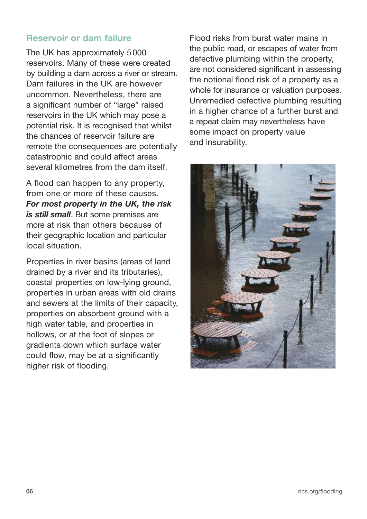#### **Reservoir or dam failure**

The UK has approximately 5 000 reservoirs. Many of these were created by building a dam across a river or stream. Dam failures in the UK are however uncommon. Nevertheless, there are a significant number of "large" raised reservoirs in the UK which may pose a potential risk. It is recognised that whilst the chances of reservoir failure are remote the consequences are potentially catastrophic and could affect areas several kilometres from the dam itself.

A flood can happen to any property, from one or more of these causes. *For most property in the UK, the risk is still small*. But some premises are more at risk than others because of their geographic location and particular local situation.

Properties in river basins (areas of land drained by a river and its tributaries), coastal properties on low-lying ground, properties in urban areas with old drains and sewers at the limits of their capacity, properties on absorbent ground with a high water table, and properties in hollows, or at the foot of slopes or gradients down which surface water could flow, may be at a significantly higher risk of flooding.

Flood risks from burst water mains in the public road, or escapes of water from defective plumbing within the property, are not considered significant in assessing the notional flood risk of a property as a whole for insurance or valuation purposes. Unremedied defective plumbing resulting in a higher chance of a further burst and a repeat claim may nevertheless have some impact on property value and insurability.

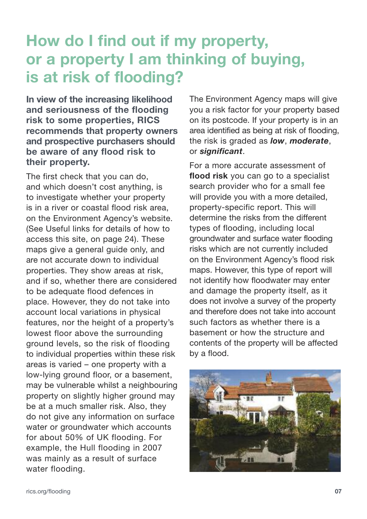## **How do I find out if my property, or a property I am thinking of buying, is at risk of flooding?**

**In view of the increasing likelihood and seriousness of the flooding risk to some properties, RICS recommends that property owners and prospective purchasers should be aware of any flood risk to their property.**

The first check that you can do, and which doesn't cost anything, is to investigate whether your property is in a river or coastal flood risk area, on the Environment Agency's website. (See Useful links for details of how to access this site, on page 24). These maps give a general guide only, and are not accurate down to individual properties. They show areas at risk, and if so, whether there are considered to be adequate flood defences in place. However, they do not take into account local variations in physical features, nor the height of a property's lowest floor above the surrounding ground levels, so the risk of flooding to individual properties within these risk areas is varied – one property with a low-lying ground floor, or a basement, may be vulnerable whilst a neighbouring property on slightly higher ground may be at a much smaller risk. Also, they do not give any information on surface water or groundwater which accounts for about 50% of UK flooding. For example, the Hull flooding in 2007 was mainly as a result of surface water flooding.

The Environment Agency maps will give you a risk factor for your property based on its postcode. If your property is in an area identified as being at risk of flooding, the risk is graded as *low*, *moderate*, or *significant*.

For a more accurate assessment of **flood risk** you can go to a specialist search provider who for a small fee will provide you with a more detailed, property-specific report. This will determine the risks from the different types of flooding, including local groundwater and surface water flooding risks which are not currently included on the Environment Agency's flood risk maps. However, this type of report will not identify how floodwater may enter and damage the property itself, as it does not involve a survey of the property and therefore does not take into account such factors as whether there is a basement or how the structure and contents of the property will be affected by a flood.

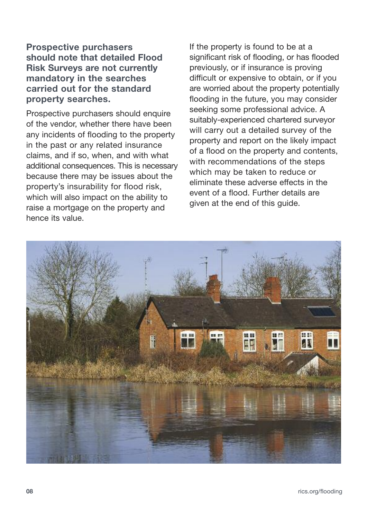**Prospective purchasers should note that detailed Flood Risk Surveys are not currently mandatory in the searches carried out for the standard property searches.**

Prospective purchasers should enquire of the vendor, whether there have been any incidents of flooding to the property in the past or any related insurance claims, and if so, when, and with what additional consequences. This is necessary because there may be issues about the property's insurability for flood risk, which will also impact on the ability to raise a mortgage on the property and hence its value.

If the property is found to be at a significant risk of flooding, or has flooded previously, or if insurance is proving difficult or expensive to obtain, or if you are worried about the property potentially flooding in the future, you may consider seeking some professional advice. A suitably-experienced chartered surveyor will carry out a detailed survey of the property and report on the likely impact of a flood on the property and contents, with recommendations of the steps which may be taken to reduce or eliminate these adverse effects in the event of a flood. Further details are given at the end of this guide.

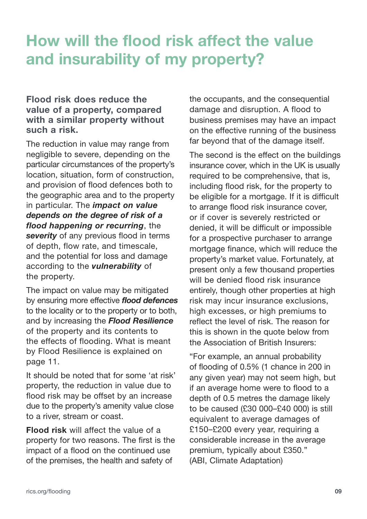## **How will the flood risk affect the value and insurability of my property?**

#### **Flood risk does reduce the value of a property, compared with a similar property without such a risk.**

The reduction in value may range from negligible to severe, depending on the particular circumstances of the property's location, situation, form of construction, and provision of flood defences both to the geographic area and to the property in particular. The *impact on value depends on the degree of risk of a flood happening or recurring*, the *severity* of any previous flood in terms of depth, flow rate, and timescale, and the potential for loss and damage according to the *vulnerability* of the property.

The impact on value may be mitigated by ensuring more effective *flood defences* to the locality or to the property or to both, and by increasing the *Flood Resilience* of the property and its contents to the effects of flooding. What is meant by Flood Resilience is explained on page 11.

It should be noted that for some 'at risk' property, the reduction in value due to flood risk may be offset by an increase due to the property's amenity value close to a river, stream or coast.

**Flood risk** will affect the value of a property for two reasons. The first is the impact of a flood on the continued use of the premises, the health and safety of

the occupants, and the consequential damage and disruption. A flood to business premises may have an impact on the effective running of the business far beyond that of the damage itself.

The second is the effect on the buildings insurance cover, which in the UK is usually required to be comprehensive, that is, including flood risk, for the property to be eligible for a mortgage. If it is difficult to arrange flood risk insurance cover, or if cover is severely restricted or denied, it will be difficult or impossible for a prospective purchaser to arrange mortgage finance, which will reduce the property's market value. Fortunately, at present only a few thousand properties will be denied flood risk insurance entirely, though other properties at high risk may incur insurance exclusions, high excesses, or high premiums to reflect the level of risk. The reason for this is shown in the quote below from the Association of British Insurers:

"For example, an annual probability of flooding of 0.5% (1 chance in 200 in any given year) may not seem high, but if an average home were to flood to a depth of 0.5 metres the damage likely to be caused (£30 000–£40 000) is still equivalent to average damages of £150–£200 every year, requiring a considerable increase in the average premium, typically about £350." (ABI, Climate Adaptation)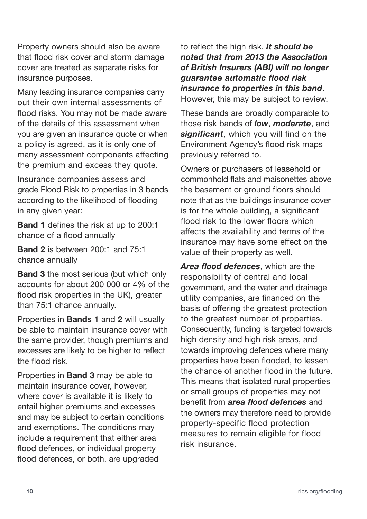Property owners should also be aware that flood risk cover and storm damage cover are treated as separate risks for insurance purposes.

Many leading insurance companies carry out their own internal assessments of flood risks. You may not be made aware of the details of this assessment when you are given an insurance quote or when a policy is agreed, as it is only one of many assessment components affecting the premium and excess they quote.

Insurance companies assess and grade Flood Risk to properties in 3 bands according to the likelihood of flooding in any given year:

**Band 1** defines the risk at up to 200:1 chance of a flood annually

**Band 2** is between 200:1 and 75:1 chance annually

**Band 3** the most serious (but which only accounts for about 200 000 or 4% of the flood risk properties in the UK), greater than 75:1 chance annually.

Properties in **Bands 1** and **2** will usually be able to maintain insurance cover with the same provider, though premiums and excesses are likely to be higher to reflect the flood risk.

Properties in **Band 3** may be able to maintain insurance cover, however, where cover is available it is likely to entail higher premiums and excesses and may be subject to certain conditions and exemptions. The conditions may include a requirement that either area flood defences, or individual property flood defences, or both, are upgraded

to reflect the high risk. *It should be noted that from 2013 the Association of British Insurers (ABI) will no longer guarantee automatic flood risk insurance to properties in this band*. However, this may be subject to review.

These bands are broadly comparable to those risk bands of *low*, *moderate*, and *significant*, which you will find on the Environment Agency's flood risk maps previously referred to.

Owners or purchasers of leasehold or commonhold flats and maisonettes above the basement or ground floors should note that as the buildings insurance cover is for the whole building, a significant flood risk to the lower floors which affects the availability and terms of the insurance may have some effect on the value of their property as well.

*Area flood defences*, which are the responsibility of central and local government, and the water and drainage utility companies, are financed on the basis of offering the greatest protection to the greatest number of properties. Consequently, funding is targeted towards high density and high risk areas, and towards improving defences where many properties have been flooded, to lessen the chance of another flood in the future. This means that isolated rural properties or small groups of properties may not benefit from *area flood defences* and the owners may therefore need to provide property-specific flood protection measures to remain eligible for flood risk insurance.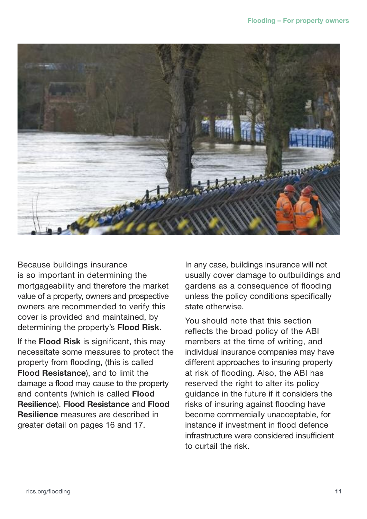

Because buildings insurance is so important in determining the mortgageability and therefore the market value of a property, owners and prospective owners are recommended to verify this cover is provided and maintained, by determining the property's **Flood Risk**.

If the **Flood Risk** is significant, this may necessitate some measures to protect the property from flooding, (this is called **Flood Resistance**), and to limit the damage a flood may cause to the property and contents (which is called **Flood Resilience**). **Flood Resistance** and **Flood Resilience** measures are described in greater detail on pages 16 and 17.

In any case, buildings insurance will not usually cover damage to outbuildings and gardens as a consequence of flooding unless the policy conditions specifically state otherwise.

You should note that this section reflects the broad policy of the ABI members at the time of writing, and individual insurance companies may have different approaches to insuring property at risk of flooding. Also, the ABI has reserved the right to alter its policy guidance in the future if it considers the risks of insuring against flooding have become commercially unacceptable, for instance if investment in flood defence infrastructure were considered insufficient to curtail the risk.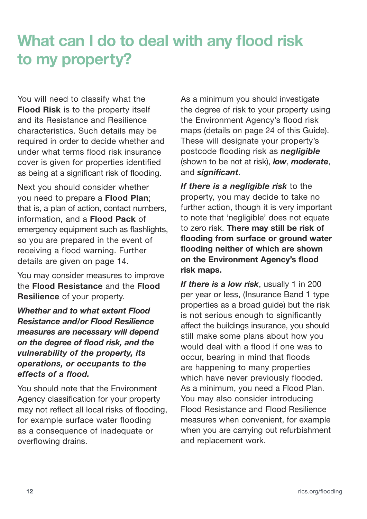## **What can I do to deal with any flood risk to my property?**

You will need to classify what the **Flood Risk** is to the property itself and its Resistance and Resilience characteristics. Such details may be required in order to decide whether and under what terms flood risk insurance cover is given for properties identified as being at a significant risk of flooding.

Next you should consider whether you need to prepare a **Flood Plan**; that is, a plan of action, contact numbers, information, and a **Flood Pack** of emergency equipment such as flashlights, so you are prepared in the event of receiving a flood warning. Further details are given on page 14.

You may consider measures to improve the **Flood Resistance** and the **Flood Resilience** of your property.

*Whether and to what extent Flood Resistance and/or Flood Resilience measures are necessary will depend on the degree of flood risk, and the vulnerability of the property, its operations, or occupants to the effects of a flood.*

You should note that the Environment Agency classification for your property may not reflect all local risks of flooding, for example surface water flooding as a consequence of inadequate or overflowing drains.

As a minimum you should investigate the degree of risk to your property using the Environment Agency's flood risk maps (details on page 24 of this Guide). These will designate your property's postcode flooding risk as *negligible* (shown to be not at risk), *low*, *moderate*, and *significant*.

*If there is a negligible risk* to the property, you may decide to take no further action, though it is very important to note that 'negligible' does not equate to zero risk. **There may still be risk of flooding from surface or ground water flooding neither of which are shown on the Environment Agency's flood risk maps.**

*If there is a low risk*, usually 1 in 200 per year or less, (Insurance Band 1 type properties as a broad guide) but the risk is not serious enough to significantly affect the buildings insurance, you should still make some plans about how you would deal with a flood if one was to occur, bearing in mind that floods are happening to many properties which have never previously flooded. As a minimum, you need a Flood Plan. You may also consider introducing Flood Resistance and Flood Resilience measures when convenient, for example when you are carrying out refurbishment and replacement work.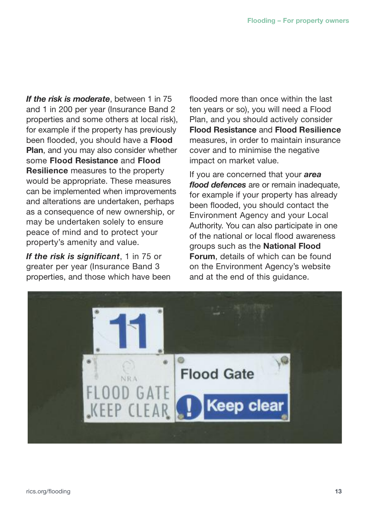*If the risk is moderate*, between 1 in 75 and 1 in 200 per year (Insurance Band 2 properties and some others at local risk), for example if the property has previously been flooded, you should have a **Flood Plan**, and you may also consider whether some **Flood Resistance** and **Flood Resilience** measures to the property would be appropriate. These measures can be implemented when improvements and alterations are undertaken, perhaps as a consequence of new ownership, or may be undertaken solely to ensure peace of mind and to protect your property's amenity and value.

*If the risk is significant*, 1 in 75 or greater per year (Insurance Band 3 properties, and those which have been flooded more than once within the last ten years or so), you will need a Flood Plan, and you should actively consider **Flood Resistance** and **Flood Resilience** measures, in order to maintain insurance cover and to minimise the negative impact on market value.

If you are concerned that your *area flood defences* are or remain inadequate, for example if your property has already been flooded, you should contact the Environment Agency and your Local Authority. You can also participate in one of the national or local flood awareness groups such as the **National Flood Forum**, details of which can be found on the Environment Agency's website and at the end of this guidance.

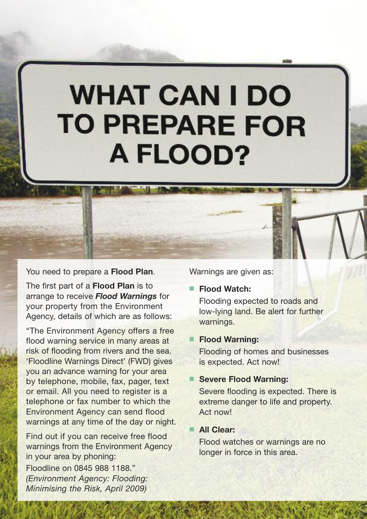## **WHAT CAN I DO TO PREPARE FOR A FLOOD?**

You need to prepare a **Flood Plan**.

The first part of a **Flood Plan** is to arrange to receive *Flood Warnings* for your property from the Environment Agency, details of which are as follows:

"The Environment Agency offers a free flood warning service in many areas at risk of flooding from rivers and the sea. 'Floodline Warnings Direct' (FWD) gives you an advance warning for your area by telephone, mobile, fax, pager, text or email. All you need to register is a telephone or fax number to which the Environment Agency can send flood warnings at any time of the day or night.

Find out if you can receive free flood warnings from the Environment Agency in your area by phoning:

Floodline on 0845 988 1188." *(Environment Agency: Flooding: Minimising the Risk, April 2009)* Warnings are given as:

■ **Flood Watch:**

Flooding expected to roads and low-lying land. Be alert for further warnings.

#### ■ **Flood Warning:**

Flooding of homes and businesses is expected. Act now!

#### ■ **Severe Flood Warning:**

Severe flooding is expected. There is extreme danger to life and property. Act now!

#### ■ **All Clear:**

Flood watches or warnings are no longer in force in this area.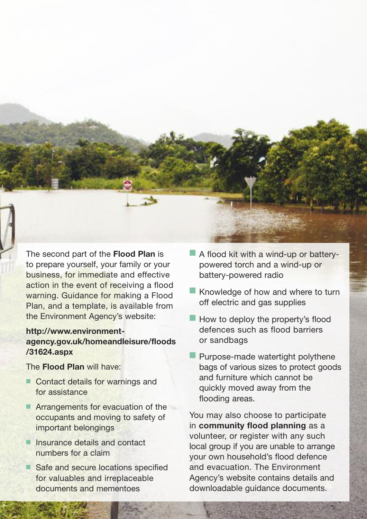The second part of the **Flood Plan** is to prepare yourself, your family or your business, for immediate and effective action in the event of receiving a flood warning. Guidance for making a Flood Plan, and a template, is available from the Environment Agency's website:

#### **http://www.environmentagency.gov.uk/homeandleisure/floods /31624.aspx**

The **Flood Plan** will have:

- Contact details for warnings and for assistance
- Arrangements for evacuation of the occupants and moving to safety of important belongings
- Insurance details and contact numbers for a claim
- Safe and secure locations specified for valuables and irreplaceable documents and mementoes
- A flood kit with a wind-up or batterypowered torch and a wind-up or battery-powered radio
- Knowledge of how and where to turn off electric and gas supplies
- How to deploy the property's flood defences such as flood barriers or sandbags
- Purpose-made watertight polythene bags of various sizes to protect goods and furniture which cannot be quickly moved away from the flooding areas.

You may also choose to participate in **community flood planning** as a volunteer, or register with any such local group if you are unable to arrange your own household's flood defence and evacuation. The Environment Agency's website contains details and downloadable guidance documents.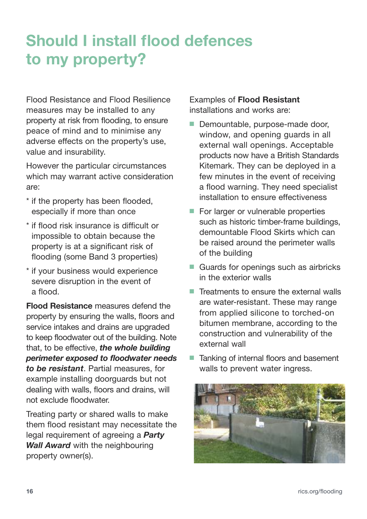## **Should I install flood defences to my property?**

Flood Resistance and Flood Resilience measures may be installed to any property at risk from flooding, to ensure peace of mind and to minimise any adverse effects on the property's use, value and insurability.

However the particular circumstances which may warrant active consideration are:

- \* if the property has been flooded, especially if more than once
- \* if flood risk insurance is difficult or impossible to obtain because the property is at a significant risk of flooding (some Band 3 properties)
- \* if your business would experience severe disruption in the event of a flood.

**Flood Resistance** measures defend the property by ensuring the walls, floors and service intakes and drains are upgraded to keep floodwater out of the building. Note that, to be effective, *the whole building perimeter exposed to floodwater needs to be resistant*. Partial measures, for example installing doorguards but not dealing with walls, floors and drains, will not exclude floodwater.

Treating party or shared walls to make them flood resistant may necessitate the legal requirement of agreeing a *Party Wall Award* with the neighbouring property owner(s).

Examples of **Flood Resistant** installations and works are:

- Demountable, purpose-made door, window, and opening guards in all external wall openings. Acceptable products now have a British Standards Kitemark. They can be deployed in a few minutes in the event of receiving a flood warning. They need specialist installation to ensure effectiveness
- For larger or vulnerable properties such as historic timber-frame buildings, demountable Flood Skirts which can be raised around the perimeter walls of the building
- Guards for openings such as airbricks in the exterior walls
- Treatments to ensure the external walls are water-resistant. These may range from applied silicone to torched-on bitumen membrane, according to the construction and vulnerability of the external wall
- Tanking of internal floors and basement walls to prevent water ingress.

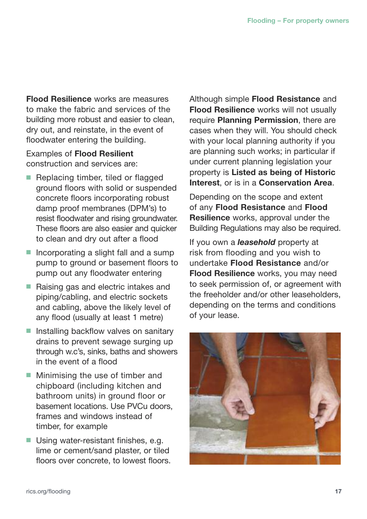**Flood Resilience** works are measures to make the fabric and services of the building more robust and easier to clean, dry out, and reinstate, in the event of floodwater entering the building.

Examples of **Flood Resilient** construction and services are:

- Replacing timber, tiled or flagged ground floors with solid or suspended concrete floors incorporating robust damp proof membranes (DPM's) to resist floodwater and rising groundwater. These floors are also easier and quicker to clean and dry out after a flood
- Incorporating a slight fall and a sump pump to ground or basement floors to pump out any floodwater entering
- Raising gas and electric intakes and piping/cabling, and electric sockets and cabling, above the likely level of any flood (usually at least 1 metre)
- Installing backflow valves on sanitary drains to prevent sewage surging up through w.c's, sinks, baths and showers in the event of a flood
- Minimising the use of timber and chipboard (including kitchen and bathroom units) in ground floor or basement locations. Use PVCu doors, frames and windows instead of timber, for example
- Using water-resistant finishes, e.g. lime or cement/sand plaster, or tiled floors over concrete, to lowest floors.

Although simple **Flood Resistance** and **Flood Resilience** works will not usually require **Planning Permission**, there are cases when they will. You should check with your local planning authority if you are planning such works; in particular if under current planning legislation your property is **Listed as being of Historic Interest**, or is in a **Conservation Area**.

Depending on the scope and extent of any **Flood Resistance** and **Flood Resilience** works, approval under the Building Regulations may also be required.

If you own a *leasehold* property at risk from flooding and you wish to undertake **Flood Resistance** and/or **Flood Resilience** works, you may need to seek permission of, or agreement with the freeholder and/or other leaseholders, depending on the terms and conditions of your lease.

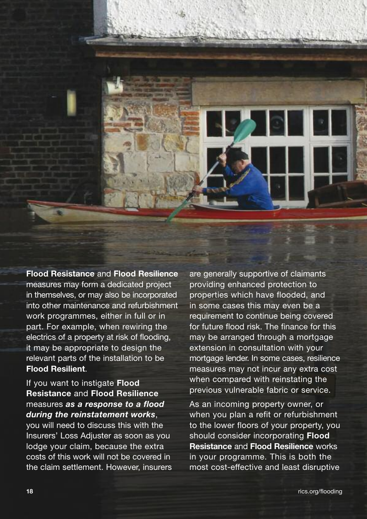

**Flood Resistance** and **Flood Resilience** measures may form a dedicated project in themselves, or may also be incorporated into other maintenance and refurbishment work programmes, either in full or in part. For example, when rewiring the electrics of a property at risk of flooding, it may be appropriate to design the relevant parts of the installation to be **Flood Resilient**.

#### If you want to instigate **Flood Resistance** and **Flood Resilience** measures *as a response to a flood during the reinstatement works*,

you will need to discuss this with the Insurers' Loss Adjuster as soon as you lodge your claim, because the extra costs of this work will not be covered in the claim settlement. However, insurers are generally supportive of claimants providing enhanced protection to properties which have flooded, and in some cases this may even be a requirement to continue being covered for future flood risk. The finance for this may be arranged through a mortgage extension in consultation with your mortgage lender. In some cases, resilience measures may not incur any extra cost when compared with reinstating the previous vulnerable fabric or service.

As an incoming property owner, or when you plan a refit or refurbishment to the lower floors of your property, you should consider incorporating **Flood Resistance** and **Flood Resilience** works in your programme. This is both the most cost-effective and least disruptive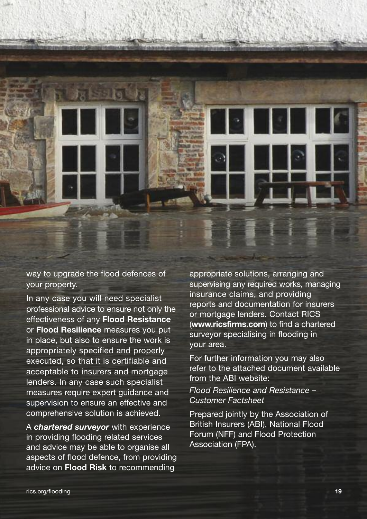

way to upgrade the flood defences of your property.

In any case you will need specialist professional advice to ensure not only the effectiveness of any **Flood Resistance** or **Flood Resilience** measures you put in place, but also to ensure the work is appropriately specified and properly executed, so that it is certifiable and acceptable to insurers and mortgage lenders. In any case such specialist measures require expert guidance and supervision to ensure an effective and comprehensive solution is achieved.

A *chartered surveyor* with experience in providing flooding related services and advice may be able to organise all aspects of flood defence, from providing advice on **Flood Risk** to recommending

appropriate solutions, arranging and supervising any required works, managing insurance claims, and providing reports and documentation for insurers or mortgage lenders. Contact RICS (**www.ricsfirms.com**) to find a chartered surveyor specialising in flooding in your area.

For further information you may also refer to the attached document available from the ABI website:

*Flood Resilience and Resistance – Customer Factsheet*

Prepared jointly by the Association of British Insurers (ABI), National Flood Forum (NFF) and Flood Protection Association (FPA).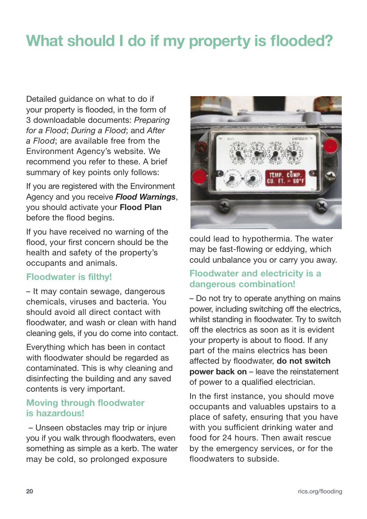## **What should I do if my property is flooded?**

Detailed guidance on what to do if your property is flooded, in the form of 3 downloadable documents: *Preparing for a Flood*; *During a Flood*; and *After a Flood*; are available free from the Environment Agency's website. We recommend you refer to these. A brief summary of key points only follows:

If you are registered with the Environment Agency and you receive *Flood Warnings*, you should activate your **Flood Plan** before the flood begins.

If you have received no warning of the flood, your first concern should be the health and safety of the property's occupants and animals.

#### **Floodwater is filthy!**

– It may contain sewage, dangerous chemicals, viruses and bacteria. You should avoid all direct contact with floodwater, and wash or clean with hand cleaning gels, if you do come into contact.

Everything which has been in contact with floodwater should be regarded as contaminated. This is why cleaning and disinfecting the building and any saved contents is very important.

#### **Moving through floodwater is hazardous!**

– Unseen obstacles may trip or injure you if you walk through floodwaters, even something as simple as a kerb. The water may be cold, so prolonged exposure



could lead to hypothermia. The water may be fast-flowing or eddying, which could unbalance you or carry you away.

#### **Floodwater and electricity is a dangerous combination!**

– Do not try to operate anything on mains power, including switching off the electrics, whilst standing in floodwater. Try to switch off the electrics as soon as it is evident your property is about to flood. If any part of the mains electrics has been affected by floodwater, **do not switch power back on** – leave the reinstatement of power to a qualified electrician.

In the first instance, you should move occupants and valuables upstairs to a place of safety, ensuring that you have with you sufficient drinking water and food for 24 hours. Then await rescue by the emergency services, or for the floodwaters to subside.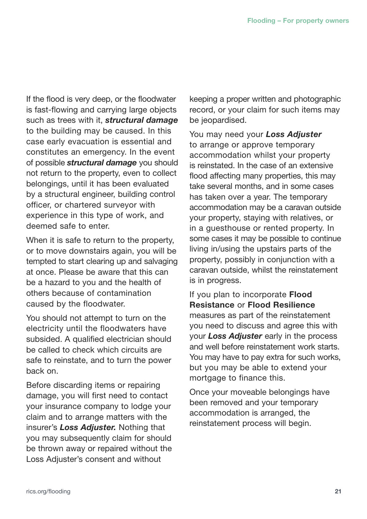If the flood is very deep, or the floodwater is fast-flowing and carrying large objects such as trees with it, *structural damage* to the building may be caused. In this case early evacuation is essential and constitutes an emergency. In the event of possible *structural damage* you should not return to the property, even to collect belongings, until it has been evaluated by a structural engineer, building control officer, or chartered surveyor with experience in this type of work, and deemed safe to enter.

When it is safe to return to the property, or to move downstairs again, you will be tempted to start clearing up and salvaging at once. Please be aware that this can be a hazard to you and the health of others because of contamination caused by the floodwater.

You should not attempt to turn on the electricity until the floodwaters have subsided. A qualified electrician should be called to check which circuits are safe to reinstate, and to turn the power back on.

Before discarding items or repairing damage, you will first need to contact your insurance company to lodge your claim and to arrange matters with the insurer's *Loss Adjuster.* Nothing that you may subsequently claim for should be thrown away or repaired without the Loss Adjuster's consent and without

keeping a proper written and photographic record, or your claim for such items may be jeopardised.

You may need your *Loss Adjuster* to arrange or approve temporary accommodation whilst your property is reinstated. In the case of an extensive flood affecting many properties, this may take several months, and in some cases has taken over a year. The temporary accommodation may be a caravan outside your property, staying with relatives, or in a guesthouse or rented property. In some cases it may be possible to continue living in/using the upstairs parts of the property, possibly in conjunction with a caravan outside, whilst the reinstatement is in progress.

If you plan to incorporate **Flood Resistance** or **Flood Resilience** measures as part of the reinstatement you need to discuss and agree this with your *Loss Adjuster* early in the process and well before reinstatement work starts. You may have to pay extra for such works, but you may be able to extend your mortgage to finance this.

Once your moveable belongings have been removed and your temporary accommodation is arranged, the reinstatement process will begin.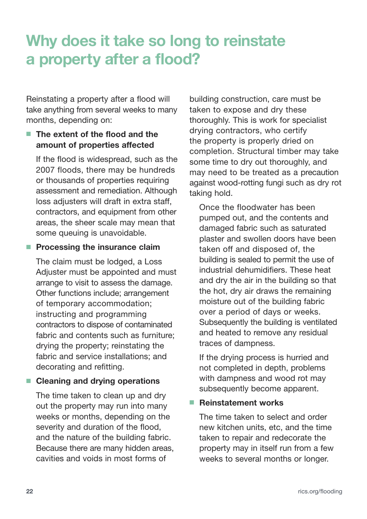## **Why does it take so long to reinstate a property after a flood?**

Reinstating a property after a flood will take anything from several weeks to many months, depending on:

#### ■ **The extent of the flood and the amount of properties affected**

If the flood is widespread, such as the 2007 floods, there may be hundreds or thousands of properties requiring assessment and remediation. Although loss adjusters will draft in extra staff, contractors, and equipment from other areas, the sheer scale may mean that some queuing is unavoidable.

#### ■ **Processing** the **insurance** claim

The claim must be lodged, a Loss Adjuster must be appointed and must arrange to visit to assess the damage. Other functions include; arrangement of temporary accommodation; instructing and programming contractors to dispose of contaminated fabric and contents such as furniture; drying the property; reinstating the fabric and service installations; and decorating and refitting.

#### ■ **Cleaning** and drying operations

The time taken to clean up and dry out the property may run into many weeks or months, depending on the severity and duration of the flood, and the nature of the building fabric. Because there are many hidden areas, cavities and voids in most forms of

building construction, care must be taken to expose and dry these thoroughly. This is work for specialist drying contractors, who certify the property is properly dried on completion. Structural timber may take some time to dry out thoroughly, and may need to be treated as a precaution against wood-rotting fungi such as dry rot taking hold.

Once the floodwater has been pumped out, and the contents and damaged fabric such as saturated plaster and swollen doors have been taken off and disposed of, the building is sealed to permit the use of industrial dehumidifiers. These heat and dry the air in the building so that the hot, dry air draws the remaining moisture out of the building fabric over a period of days or weeks. Subsequently the building is ventilated and heated to remove any residual traces of dampness.

If the drying process is hurried and not completed in depth, problems with dampness and wood rot may subsequently become apparent.

#### ■ **Reinstatement works**

The time taken to select and order new kitchen units, etc, and the time taken to repair and redecorate the property may in itself run from a few weeks to several months or longer.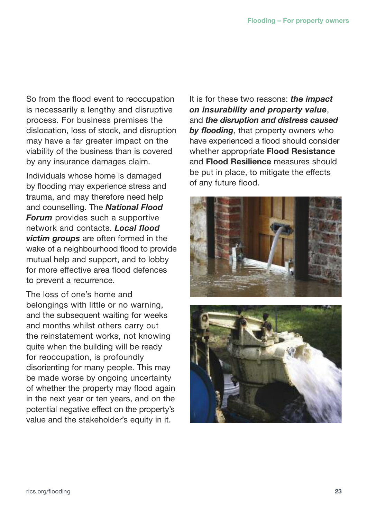So from the flood event to reoccupation is necessarily a lengthy and disruptive process. For business premises the dislocation, loss of stock, and disruption may have a far greater impact on the viability of the business than is covered by any insurance damages claim.

Individuals whose home is damaged by flooding may experience stress and trauma, and may therefore need help and counselling. The *National Flood Forum* provides such a supportive network and contacts. *Local flood victim groups* are often formed in the wake of a neighbourhood flood to provide mutual help and support, and to lobby for more effective area flood defences to prevent a recurrence.

The loss of one's home and belongings with little or no warning, and the subsequent waiting for weeks and months whilst others carry out the reinstatement works, not knowing quite when the building will be ready for reoccupation, is profoundly disorienting for many people. This may be made worse by ongoing uncertainty of whether the property may flood again in the next year or ten years, and on the potential negative effect on the property's value and the stakeholder's equity in it.

It is for these two reasons: *the impact on insurability and property value*, and *the disruption and distress caused by flooding*, that property owners who have experienced a flood should consider whether appropriate **Flood Resistance** and **Flood Resilience** measures should be put in place, to mitigate the effects of any future flood.



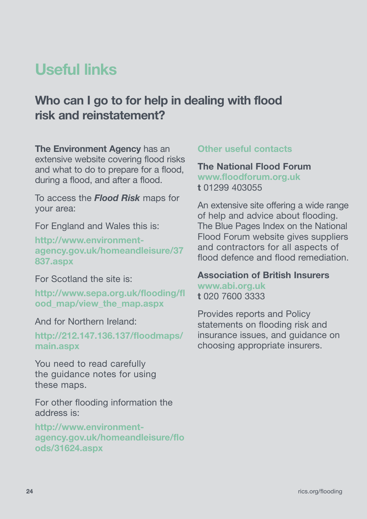## **Useful links**

#### **Who can I go to for help in dealing with flood risk and reinstatement?**

**The Environment Agency** has an extensive website covering flood risks and what to do to prepare for a flood, during a flood, and after a flood.

To access the *Flood Risk* maps for your area:

For England and Wales this is:

**http://www.environmentagency.gov.uk/homeandleisure/37 837.aspx**

For Scotland the site is:

**http://www.sepa.org.uk/flooding/fl ood\_map/view\_the\_map.aspx**

And for Northern Ireland:

**http://212.147.136.137/floodmaps/ main.aspx**

You need to read carefully the guidance notes for using these maps.

For other flooding information the address is:

**http://www.environmentagency.gov.uk/homeandleisure/flo ods/31624.aspx**

#### **Other useful contacts**

**The National Flood Forum www.floodforum.org.uk t** 01299 403055

An extensive site offering a wide range of help and advice about flooding. The Blue Pages Index on the National Flood Forum website gives suppliers and contractors for all aspects of flood defence and flood remediation.

#### **Association of British Insurers**

**www.abi.org.uk t** 020 7600 3333

Provides reports and Policy statements on flooding risk and insurance issues, and guidance on choosing appropriate insurers.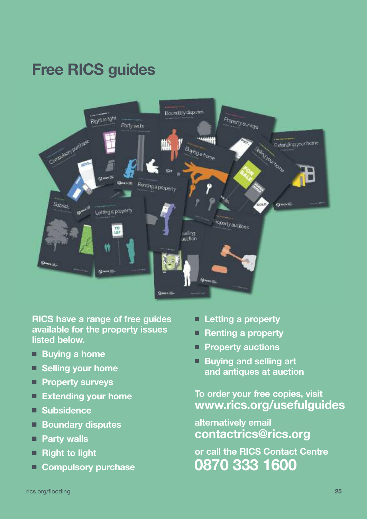## **Free RICS guides**



**RICS have a range of free guides available for the property issues listed below.**

- **Buying** a home
- **Selling** your home
- **Property surveys**
- **Extending** your home
- **Subsidence**
- **Boundary disputes**
- **Party walls**
- **Right to light**
- **Compulsory purchase**
- **Letting a property**
- **Renting a property**
- **Property auctions**
- **Buying and selling art and antiques at auction**

**To order your free copies, visit www.rics.org/usefulguides**

**alternatively email contactrics@rics.org**

**or call the RICS Contact Centre 0870 333 1600**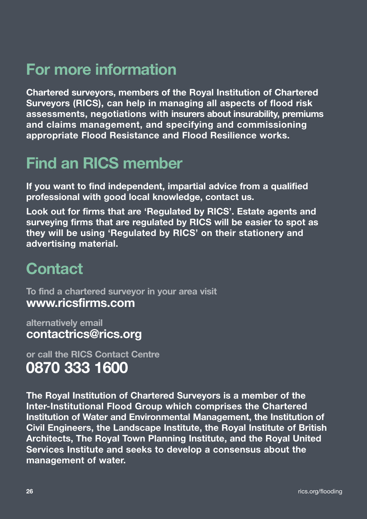## **For more information**

**Chartered surveyors, members of the Royal Institution of Chartered Surveyors (RICS), can help in managing all aspects of flood risk assessments, negotiations with insurers about insurability, premiums and claims management, and specifying and commissioning appropriate Flood Resistance and Flood Resilience works.**

## **Find an RICS member**

**If you want to find independent, impartial advice from a qualified professional with good local knowledge, contact us.**

**Look out for firms that are 'Regulated by RICS'. Estate agents and surveying firms that are regulated by RICS will be easier to spot as they will be using 'Regulated by RICS' on their stationery and advertising material.**

## **Contact**

**To find a chartered surveyor in your area visit www.ricsfirms.com**

**alternatively email contactrics@rics.org**

**or call the RICS Contact Centre 0870 333 1600**

**The Royal Institution of Chartered Surveyors is a member of the Inter-Institutional Flood Group which comprises the Chartered Institution of Water and Environmental Management, the Institution of Civil Engineers, the Landscape Institute, the Royal Institute of British Architects, The Royal Town Planning Institute, and the Royal United Services Institute and seeks to develop a consensus about the management of water.**